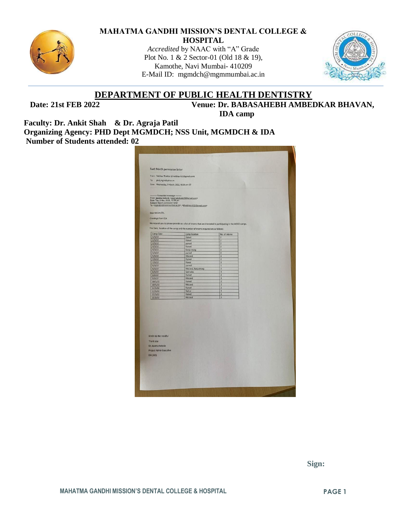

#### **MAHATMA GANDHI MISSION'S DENTAL COLLEGE & HOSPITAL**

*Accredited* by NAAC with "A" Grade Plot No. 1 & 2 Sector-01 (Old 18 & 19), Kamothe, Navi Mumbai- 410209 E-Mail ID: [mgmdch@mgmmumbai.ac.in](mailto:mgmdch@mgmmumbai.ac.in)



## **DEPARTMENT OF PUBLIC HEALTH DENTISTRY**

 **Date: 21st FEB 2022 Venue: Dr. BABASAHEBH AMBEDKAR BHAVAN, IDA camp**

**Faculty: Dr. Ankit Shah & Dr. Agraja Patil Organizing Agency: PHD Dept MGMDCH; NSS Unit, MGMDCH & IDA Number of Students attended: 02**

| phd_mgm@yahoo.in<br>- Forwarded message -<br>Camp Date<br>Camp location<br>No. of interns<br>1/3/22<br>Panvel<br>$\overline{2}$<br>2/3/22<br>Panvel<br>$\overline{2}$<br>3/3/22<br>$\overline{2}$<br>panvel<br>4/3/22<br>Panvel<br>$\overline{\mathbf{2}}$<br>4/3/22<br>Kanjurmarg<br>$\overline{2}$<br>5/3/22<br>panvel<br>$\overline{\mathbf{z}}$<br>5/3/22<br>Mulund<br>$\overline{\mathbf{3}}$<br>7/3/22<br>Panvel<br>$\overline{z}$<br>7/3/22<br>Powai<br>$\overline{3}$<br>8/3/22<br>1<br>panvel<br>8/3/22<br>Mulund, Kanjurmarg<br>$\overline{2}$<br>Sakinaka<br>3<br>8/3/22<br>Panvel<br>$\overline{2}$<br>9/3/22<br>9/3/22<br>Mulund<br>10/3/22<br>Panvel<br>$\overline{2}$<br>10/3/22<br>Mulund<br>$\overline{3}$<br>11/3/22<br>Panvel<br>$\overline{\mathbf{2}}$<br>Nahur<br>3<br>11/3/22<br>$\overline{2}$<br>Panvel<br>15/3/22<br>3<br>Mulund<br>15/3/22 | To:<br>Date: Wednesday, 9 March, 2022, 10:36 am IST<br>From: aparna kokode <aparnakokode10@gmail.com><br/>Date: Tue, 8 Mar, 2022, 12:58 pm<br/>Subject: March permission letter<br/>To: <mgmdch@mgmmumbai.ac.in>, <dryaibhay.h32@gmail.com><br/>Dear Ma'am/Sir,<br/>Greetings from IDA<br/>We request you to please provide us a list of interns that are interested in participating in the MOCC camps.<br/>The Date, location of the camp and the number of interns required are as follows:<br/>Kindly do the needful<br/>Thank you<br/>Dr. Aparna Kokode<br/><b>Project Admin Executive</b><br/>IDA (HO)</dryaibhay.h32@gmail.com></mgmdch@mgmmumbai.ac.in></aparnakokode10@gmail.com> | From: Vaibhav Thakkar (drvaibhav.h32@gmail.com) | Fwd: March permission letter |  |
|-----------------------------------------------------------------------------------------------------------------------------------------------------------------------------------------------------------------------------------------------------------------------------------------------------------------------------------------------------------------------------------------------------------------------------------------------------------------------------------------------------------------------------------------------------------------------------------------------------------------------------------------------------------------------------------------------------------------------------------------------------------------------------------------------------------------------------------------------------------------------|--------------------------------------------------------------------------------------------------------------------------------------------------------------------------------------------------------------------------------------------------------------------------------------------------------------------------------------------------------------------------------------------------------------------------------------------------------------------------------------------------------------------------------------------------------------------------------------------------------------------------------------------------------------------------------------------|-------------------------------------------------|------------------------------|--|
|                                                                                                                                                                                                                                                                                                                                                                                                                                                                                                                                                                                                                                                                                                                                                                                                                                                                       |                                                                                                                                                                                                                                                                                                                                                                                                                                                                                                                                                                                                                                                                                            |                                                 |                              |  |
|                                                                                                                                                                                                                                                                                                                                                                                                                                                                                                                                                                                                                                                                                                                                                                                                                                                                       |                                                                                                                                                                                                                                                                                                                                                                                                                                                                                                                                                                                                                                                                                            |                                                 |                              |  |
|                                                                                                                                                                                                                                                                                                                                                                                                                                                                                                                                                                                                                                                                                                                                                                                                                                                                       |                                                                                                                                                                                                                                                                                                                                                                                                                                                                                                                                                                                                                                                                                            |                                                 |                              |  |
|                                                                                                                                                                                                                                                                                                                                                                                                                                                                                                                                                                                                                                                                                                                                                                                                                                                                       |                                                                                                                                                                                                                                                                                                                                                                                                                                                                                                                                                                                                                                                                                            |                                                 |                              |  |
|                                                                                                                                                                                                                                                                                                                                                                                                                                                                                                                                                                                                                                                                                                                                                                                                                                                                       |                                                                                                                                                                                                                                                                                                                                                                                                                                                                                                                                                                                                                                                                                            |                                                 |                              |  |
|                                                                                                                                                                                                                                                                                                                                                                                                                                                                                                                                                                                                                                                                                                                                                                                                                                                                       |                                                                                                                                                                                                                                                                                                                                                                                                                                                                                                                                                                                                                                                                                            |                                                 |                              |  |
|                                                                                                                                                                                                                                                                                                                                                                                                                                                                                                                                                                                                                                                                                                                                                                                                                                                                       |                                                                                                                                                                                                                                                                                                                                                                                                                                                                                                                                                                                                                                                                                            |                                                 |                              |  |
|                                                                                                                                                                                                                                                                                                                                                                                                                                                                                                                                                                                                                                                                                                                                                                                                                                                                       |                                                                                                                                                                                                                                                                                                                                                                                                                                                                                                                                                                                                                                                                                            |                                                 |                              |  |
|                                                                                                                                                                                                                                                                                                                                                                                                                                                                                                                                                                                                                                                                                                                                                                                                                                                                       |                                                                                                                                                                                                                                                                                                                                                                                                                                                                                                                                                                                                                                                                                            |                                                 |                              |  |
|                                                                                                                                                                                                                                                                                                                                                                                                                                                                                                                                                                                                                                                                                                                                                                                                                                                                       |                                                                                                                                                                                                                                                                                                                                                                                                                                                                                                                                                                                                                                                                                            |                                                 |                              |  |
|                                                                                                                                                                                                                                                                                                                                                                                                                                                                                                                                                                                                                                                                                                                                                                                                                                                                       |                                                                                                                                                                                                                                                                                                                                                                                                                                                                                                                                                                                                                                                                                            |                                                 |                              |  |
|                                                                                                                                                                                                                                                                                                                                                                                                                                                                                                                                                                                                                                                                                                                                                                                                                                                                       |                                                                                                                                                                                                                                                                                                                                                                                                                                                                                                                                                                                                                                                                                            |                                                 |                              |  |
|                                                                                                                                                                                                                                                                                                                                                                                                                                                                                                                                                                                                                                                                                                                                                                                                                                                                       |                                                                                                                                                                                                                                                                                                                                                                                                                                                                                                                                                                                                                                                                                            |                                                 |                              |  |
|                                                                                                                                                                                                                                                                                                                                                                                                                                                                                                                                                                                                                                                                                                                                                                                                                                                                       |                                                                                                                                                                                                                                                                                                                                                                                                                                                                                                                                                                                                                                                                                            |                                                 |                              |  |
|                                                                                                                                                                                                                                                                                                                                                                                                                                                                                                                                                                                                                                                                                                                                                                                                                                                                       |                                                                                                                                                                                                                                                                                                                                                                                                                                                                                                                                                                                                                                                                                            |                                                 |                              |  |
|                                                                                                                                                                                                                                                                                                                                                                                                                                                                                                                                                                                                                                                                                                                                                                                                                                                                       |                                                                                                                                                                                                                                                                                                                                                                                                                                                                                                                                                                                                                                                                                            |                                                 |                              |  |
|                                                                                                                                                                                                                                                                                                                                                                                                                                                                                                                                                                                                                                                                                                                                                                                                                                                                       |                                                                                                                                                                                                                                                                                                                                                                                                                                                                                                                                                                                                                                                                                            |                                                 |                              |  |
|                                                                                                                                                                                                                                                                                                                                                                                                                                                                                                                                                                                                                                                                                                                                                                                                                                                                       |                                                                                                                                                                                                                                                                                                                                                                                                                                                                                                                                                                                                                                                                                            |                                                 |                              |  |
|                                                                                                                                                                                                                                                                                                                                                                                                                                                                                                                                                                                                                                                                                                                                                                                                                                                                       |                                                                                                                                                                                                                                                                                                                                                                                                                                                                                                                                                                                                                                                                                            |                                                 |                              |  |
|                                                                                                                                                                                                                                                                                                                                                                                                                                                                                                                                                                                                                                                                                                                                                                                                                                                                       |                                                                                                                                                                                                                                                                                                                                                                                                                                                                                                                                                                                                                                                                                            |                                                 |                              |  |
|                                                                                                                                                                                                                                                                                                                                                                                                                                                                                                                                                                                                                                                                                                                                                                                                                                                                       |                                                                                                                                                                                                                                                                                                                                                                                                                                                                                                                                                                                                                                                                                            |                                                 |                              |  |
|                                                                                                                                                                                                                                                                                                                                                                                                                                                                                                                                                                                                                                                                                                                                                                                                                                                                       |                                                                                                                                                                                                                                                                                                                                                                                                                                                                                                                                                                                                                                                                                            |                                                 |                              |  |
|                                                                                                                                                                                                                                                                                                                                                                                                                                                                                                                                                                                                                                                                                                                                                                                                                                                                       |                                                                                                                                                                                                                                                                                                                                                                                                                                                                                                                                                                                                                                                                                            |                                                 |                              |  |
|                                                                                                                                                                                                                                                                                                                                                                                                                                                                                                                                                                                                                                                                                                                                                                                                                                                                       |                                                                                                                                                                                                                                                                                                                                                                                                                                                                                                                                                                                                                                                                                            |                                                 |                              |  |
|                                                                                                                                                                                                                                                                                                                                                                                                                                                                                                                                                                                                                                                                                                                                                                                                                                                                       |                                                                                                                                                                                                                                                                                                                                                                                                                                                                                                                                                                                                                                                                                            |                                                 |                              |  |
|                                                                                                                                                                                                                                                                                                                                                                                                                                                                                                                                                                                                                                                                                                                                                                                                                                                                       |                                                                                                                                                                                                                                                                                                                                                                                                                                                                                                                                                                                                                                                                                            |                                                 |                              |  |
|                                                                                                                                                                                                                                                                                                                                                                                                                                                                                                                                                                                                                                                                                                                                                                                                                                                                       |                                                                                                                                                                                                                                                                                                                                                                                                                                                                                                                                                                                                                                                                                            |                                                 |                              |  |
|                                                                                                                                                                                                                                                                                                                                                                                                                                                                                                                                                                                                                                                                                                                                                                                                                                                                       |                                                                                                                                                                                                                                                                                                                                                                                                                                                                                                                                                                                                                                                                                            |                                                 |                              |  |
|                                                                                                                                                                                                                                                                                                                                                                                                                                                                                                                                                                                                                                                                                                                                                                                                                                                                       |                                                                                                                                                                                                                                                                                                                                                                                                                                                                                                                                                                                                                                                                                            |                                                 |                              |  |
|                                                                                                                                                                                                                                                                                                                                                                                                                                                                                                                                                                                                                                                                                                                                                                                                                                                                       |                                                                                                                                                                                                                                                                                                                                                                                                                                                                                                                                                                                                                                                                                            |                                                 |                              |  |
|                                                                                                                                                                                                                                                                                                                                                                                                                                                                                                                                                                                                                                                                                                                                                                                                                                                                       |                                                                                                                                                                                                                                                                                                                                                                                                                                                                                                                                                                                                                                                                                            |                                                 |                              |  |
|                                                                                                                                                                                                                                                                                                                                                                                                                                                                                                                                                                                                                                                                                                                                                                                                                                                                       |                                                                                                                                                                                                                                                                                                                                                                                                                                                                                                                                                                                                                                                                                            |                                                 |                              |  |

 **Sign:**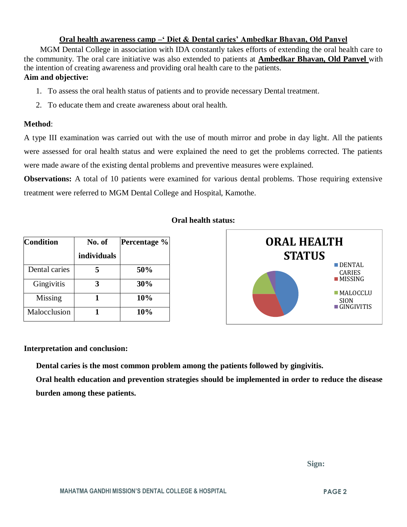### **Oral health awareness camp –' Diet & Dental caries' Ambedkar Bhavan, Old Panvel**

 MGM Dental College in association with IDA constantly takes efforts of extending the oral health care to the community. The oral care initiative was also extended to patients at **Ambedkar Bhavan, Old Panvel** with the intention of creating awareness and providing oral health care to the patients. **Aim and objective:** 

- 1. To assess the oral health status of patients and to provide necessary Dental treatment.
- 2. To educate them and create awareness about oral health.

#### **Method**:

A type III examination was carried out with the use of mouth mirror and probe in day light. All the patients were assessed for oral health status and were explained the need to get the problems corrected. The patients were made aware of the existing dental problems and preventive measures were explained.

**Observations:** A total of 10 patients were examined for various dental problems. Those requiring extensive treatment were referred to MGM Dental College and Hospital, Kamothe.

| <b>Oral health status:</b> |  |
|----------------------------|--|
|----------------------------|--|

| <b>Condition</b> | No. of      | Percentage % |
|------------------|-------------|--------------|
|                  | individuals |              |
| Dental caries    |             | 50%          |
| Gingivitis       |             | 30%          |
| Missing          |             | 10%          |
| Malocclusion     |             | 10%          |



#### **Interpretation and conclusion:**

 **Dental caries is the most common problem among the patients followed by gingivitis.**

**Oral health education and prevention strategies should be implemented in order to reduce the disease burden among these patients.**

 **Sign:**